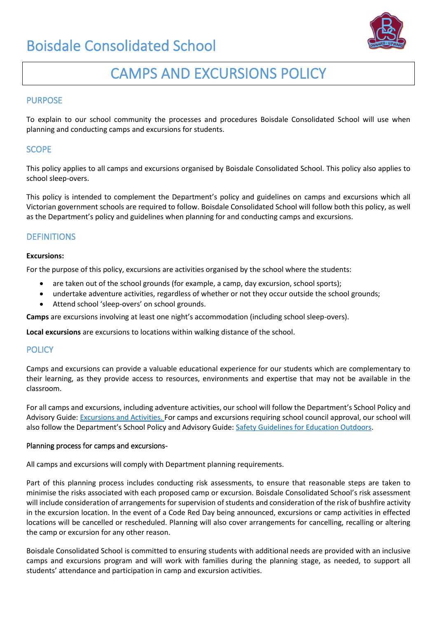

# CAMPS AND EXCURSIONS POLICY

### PURPOSE

To explain to our school community the processes and procedures Boisdale Consolidated School will use when planning and conducting camps and excursions for students.

## **SCOPE**

This policy applies to all camps and excursions organised by Boisdale Consolidated School. This policy also applies to school sleep-overs.

This policy is intended to complement the Department's policy and guidelines on camps and excursions which all Victorian government schools are required to follow. Boisdale Consolidated School will follow both this policy, as well as the Department's policy and guidelines when planning for and conducting camps and excursions.

## **DEFINITIONS**

#### **Excursions:**

For the purpose of this policy, excursions are activities organised by the school where the students:

- are taken out of the school grounds (for example, a camp, day excursion, school sports);
- undertake adventure activities, regardless of whether or not they occur outside the school grounds;
- Attend school 'sleep-overs' on school grounds.

**Camps** are excursions involving at least one night's accommodation (including school sleep-overs).

**Local excursions** are excursions to locations within walking distance of the school.

### **POLICY**

Camps and excursions can provide a valuable educational experience for our students which are complementary to their learning, as they provide access to resources, environments and expertise that may not be available in the classroom.

For all camps and excursions, including adventure activities, our school will follow the Department's School Policy and Advisory Guide: [Excursions and Activities.](http://www.education.vic.gov.au/school/principals/spag/safety/pages/excursions.aspx) For camps and excursions requiring school council approval, our school will also follow the Department's School Policy and Advisory Guide: [Safety Guidelines for Education Outdoors.](https://www.education.vic.gov.au/school/teachers/studentmanagement/excursions/Pages/outdoorguidelines.aspx)

#### Planning process for camps and excursions-

All camps and excursions will comply with Department planning requirements.

Part of this planning process includes conducting risk assessments, to ensure that reasonable steps are taken to minimise the risks associated with each proposed camp or excursion. Boisdale Consolidated School's risk assessment will include consideration of arrangements for supervision of students and consideration of the risk of bushfire activity in the excursion location. In the event of a Code Red Day being announced, excursions or camp activities in effected locations will be cancelled or rescheduled. Planning will also cover arrangements for cancelling, recalling or altering the camp or excursion for any other reason.

Boisdale Consolidated School is committed to ensuring students with additional needs are provided with an inclusive camps and excursions program and will work with families during the planning stage, as needed, to support all students' attendance and participation in camp and excursion activities.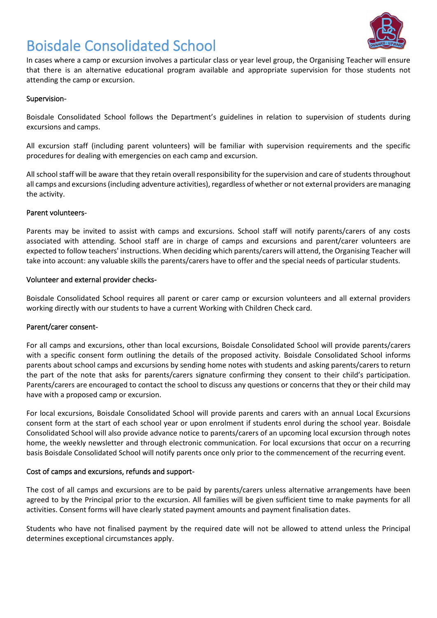

In cases where a camp or excursion involves a particular class or year level group, the Organising Teacher will ensure that there is an alternative educational program available and appropriate supervision for those students not attending the camp or excursion.

### Supervision-

Boisdale Consolidated School follows the Department's guidelines in relation to supervision of students during excursions and camps.

All excursion staff (including parent volunteers) will be familiar with supervision requirements and the specific procedures for dealing with emergencies on each camp and excursion.

All school staff will be aware that they retain overall responsibility for the supervision and care of students throughout all camps and excursions (including adventure activities), regardless of whether or not external providers are managing the activity.

#### Parent volunteers-

Parents may be invited to assist with camps and excursions. School staff will notify parents/carers of any costs associated with attending. School staff are in charge of camps and excursions and parent/carer volunteers are expected to follow teachers' instructions. When deciding which parents/carers will attend, the Organising Teacher will take into account: any valuable skills the parents/carers have to offer and the special needs of particular students.

#### Volunteer and external provider checks-

Boisdale Consolidated School requires all parent or carer camp or excursion volunteers and all external providers working directly with our students to have a current Working with Children Check card.

#### Parent/carer consent-

For all camps and excursions, other than local excursions, Boisdale Consolidated School will provide parents/carers with a specific consent form outlining the details of the proposed activity. Boisdale Consolidated School informs parents about school camps and excursions by sending home notes with students and asking parents/carers to return the part of the note that asks for parents/carers signature confirming they consent to their child's participation. Parents/carers are encouraged to contact the school to discuss any questions or concerns that they or their child may have with a proposed camp or excursion.

For local excursions, Boisdale Consolidated School will provide parents and carers with an annual Local Excursions consent form at the start of each school year or upon enrolment if students enrol during the school year. Boisdale Consolidated School will also provide advance notice to parents/carers of an upcoming local excursion through notes home, the weekly newsletter and through electronic communication. For local excursions that occur on a recurring basis Boisdale Consolidated School will notify parents once only prior to the commencement of the recurring event.

#### Cost of camps and excursions, refunds and support-

The cost of all camps and excursions are to be paid by parents/carers unless alternative arrangements have been agreed to by the Principal prior to the excursion. All families will be given sufficient time to make payments for all activities. Consent forms will have clearly stated payment amounts and payment finalisation dates.

Students who have not finalised payment by the required date will not be allowed to attend unless the Principal determines exceptional circumstances apply.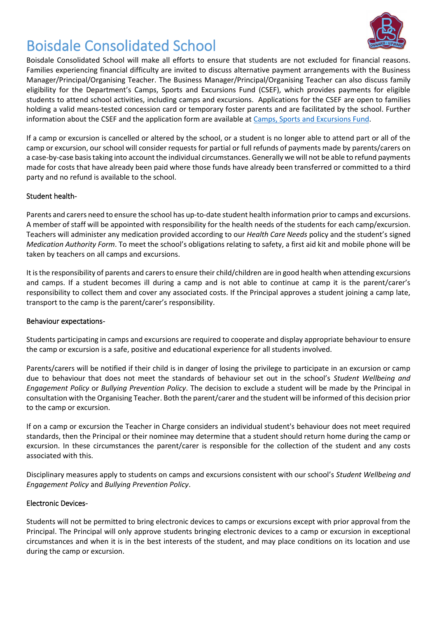

Boisdale Consolidated School will make all efforts to ensure that students are not excluded for financial reasons. Families experiencing financial difficulty are invited to discuss alternative payment arrangements with the Business Manager/Principal/Organising Teacher. The Business Manager/Principal/Organising Teacher can also discuss family eligibility for the Department's Camps, Sports and Excursions Fund (CSEF), which provides payments for eligible students to attend school activities, including camps and excursions. Applications for the CSEF are open to families holding a valid means-tested concession card or temporary foster parents and are facilitated by the school. Further information about the CSEF and the application form are available at [Camps, Sports and Excursions Fund.](http://www.education.vic.gov.au/about/programs/Pages/csef.aspx)

If a camp or excursion is cancelled or altered by the school, or a student is no longer able to attend part or all of the camp or excursion, our school will consider requests for partial or full refunds of payments made by parents/carers on a case-by-case basis taking into account the individual circumstances. Generally we will not be able to refund payments made for costs that have already been paid where those funds have already been transferred or committed to a third party and no refund is available to the school.

## Student health-

Parents and carers need to ensure the school has up-to-date student health information prior to camps and excursions. A member of staff will be appointed with responsibility for the health needs of the students for each camp/excursion. Teachers will administer any medication provided according to our *Health Care Needs* policy and the student's signed *Medication Authority Form*. To meet the school's obligations relating to safety, a first aid kit and mobile phone will be taken by teachers on all camps and excursions.

It is the responsibility of parents and carers to ensure their child/children are in good health when attending excursions and camps. If a student becomes ill during a camp and is not able to continue at camp it is the parent/carer's responsibility to collect them and cover any associated costs. If the Principal approves a student joining a camp late, transport to the camp is the parent/carer's responsibility.

### Behaviour expectations-

Students participating in camps and excursions are required to cooperate and display appropriate behaviour to ensure the camp or excursion is a safe, positive and educational experience for all students involved.

Parents/carers will be notified if their child is in danger of losing the privilege to participate in an excursion or camp due to behaviour that does not meet the standards of behaviour set out in the school's *Student Wellbeing and Engagement Policy* or *Bullying Prevention Policy*. The decision to exclude a student will be made by the Principal in consultation with the Organising Teacher. Both the parent/carer and the student will be informed of this decision prior to the camp or excursion.

If on a camp or excursion the Teacher in Charge considers an individual student's behaviour does not meet required standards, then the Principal or their nominee may determine that a student should return home during the camp or excursion. In these circumstances the parent/carer is responsible for the collection of the student and any costs associated with this.

Disciplinary measures apply to students on camps and excursions consistent with our school's *Student Wellbeing and Engagement Policy* and *Bullying Prevention Policy*.

### Electronic Devices-

Students will not be permitted to bring electronic devices to camps or excursions except with prior approval from the Principal. The Principal will only approve students bringing electronic devices to a camp or excursion in exceptional circumstances and when it is in the best interests of the student, and may place conditions on its location and use during the camp or excursion.